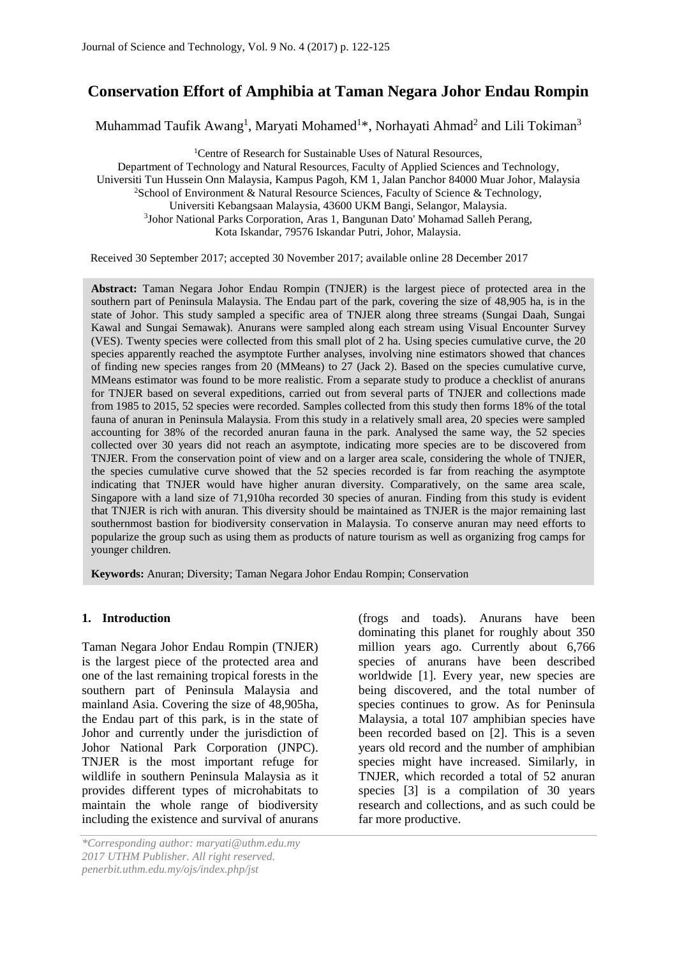# **Conservation Effort of Amphibia at Taman Negara Johor Endau Rompin**

Muhammad Taufik Awang<sup>1</sup>, Maryati Mohamed<sup>1\*</sup>, Norhayati Ahmad<sup>2</sup> and Lili Tokiman<sup>3</sup>

<sup>1</sup>Centre of Research for Sustainable Uses of Natural Resources, Department of Technology and Natural Resources, Faculty of Applied Sciences and Technology, Universiti Tun Hussein Onn Malaysia, Kampus Pagoh, KM 1, Jalan Panchor 84000 Muar Johor, Malaysia <sup>2</sup>School of Environment & Natural Resource Sciences, Faculty of Science & Technology, Universiti Kebangsaan Malaysia, 43600 UKM Bangi, Selangor, Malaysia. <sup>3</sup>Johor National Parks Corporation, Aras 1, Bangunan Dato' Mohamad Salleh Perang, Kota Iskandar, 79576 Iskandar Putri, Johor, Malaysia.

Received 30 September 2017; accepted 30 November 2017; available online 28 December 2017

**Abstract:** Taman Negara Johor Endau Rompin (TNJER) is the largest piece of protected area in the southern part of Peninsula Malaysia. The Endau part of the park, covering the size of 48,905 ha, is in the state of Johor. This study sampled a specific area of TNJER along three streams (Sungai Daah, Sungai Kawal and Sungai Semawak). Anurans were sampled along each stream using Visual Encounter Survey (VES). Twenty species were collected from this small plot of 2 ha. Using species cumulative curve, the 20 species apparently reached the asymptote Further analyses, involving nine estimators showed that chances of finding new species ranges from 20 (MMeans) to 27 (Jack 2). Based on the species cumulative curve, MMeans estimator was found to be more realistic. From a separate study to produce a checklist of anurans for TNJER based on several expeditions, carried out from several parts of TNJER and collections made from 1985 to 2015, 52 species were recorded. Samples collected from this study then forms 18% of the total fauna of anuran in Peninsula Malaysia. From this study in a relatively small area, 20 species were sampled accounting for 38% of the recorded anuran fauna in the park. Analysed the same way, the 52 species collected over 30 years did not reach an asymptote, indicating more species are to be discovered from TNJER. From the conservation point of view and on a larger area scale, considering the whole of TNJER, the species cumulative curve showed that the 52 species recorded is far from reaching the asymptote indicating that TNJER would have higher anuran diversity. Comparatively, on the same area scale, Singapore with a land size of 71,910ha recorded 30 species of anuran. Finding from this study is evident that TNJER is rich with anuran. This diversity should be maintained as TNJER is the major remaining last southernmost bastion for biodiversity conservation in Malaysia. To conserve anuran may need efforts to popularize the group such as using them as products of nature tourism as well as organizing frog camps for younger children.

**Keywords:** Anuran; Diversity; Taman Negara Johor Endau Rompin; Conservation

## **1. Introduction**

Taman Negara Johor Endau Rompin (TNJER) is the largest piece of the protected area and one of the last remaining tropical forests in the southern part of Peninsula Malaysia and mainland Asia. Covering the size of 48,905ha, the Endau part of this park, is in the state of Johor and currently under the jurisdiction of Johor National Park Corporation (JNPC). TNJER is the most important refuge for wildlife in southern Peninsula Malaysia as it provides different types of microhabitats to maintain the whole range of biodiversity including the existence and survival of anurans (frogs and toads). Anurans have been dominating this planet for roughly about 350 million years ago. Currently about 6,766 species of anurans have been described worldwide [1]. Every year, new species are being discovered, and the total number of species continues to grow. As for Peninsula Malaysia, a total 107 amphibian species have been recorded based on [2]. This is a seven years old record and the number of amphibian species might have increased. Similarly, in TNJER, which recorded a total of 52 anuran species [3] is a compilation of 30 years research and collections, and as such could be far more productive.

*<sup>\*</sup>Corresponding author: maryati@uthm.edu.my 2017 UTHM Publisher. All right reserved. penerbit.uthm.edu.my/ojs/index.php/jst*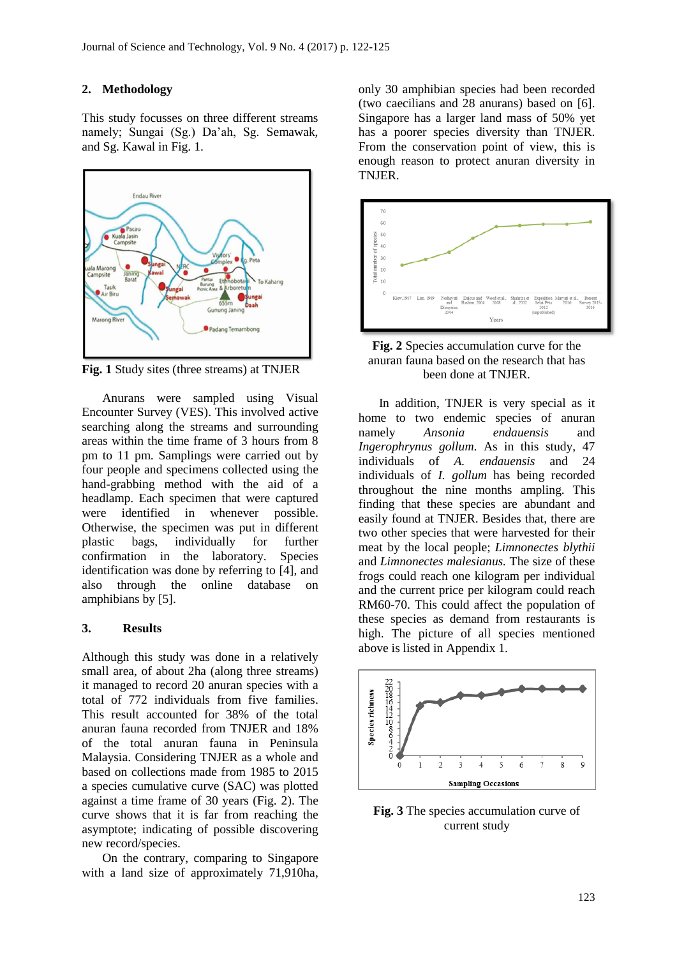#### **2. Methodology**

This study focusses on three different streams namely; Sungai (Sg.) Da'ah, Sg. Semawak, and Sg. Kawal in Fig. 1.



**Fig. 1** Study sites (three streams) at TNJER

Anurans were sampled using Visual Encounter Survey (VES). This involved active searching along the streams and surrounding areas within the time frame of 3 hours from 8 pm to 11 pm. Samplings were carried out by four people and specimens collected using the hand-grabbing method with the aid of a headlamp. Each specimen that were captured were identified in whenever possible. Otherwise, the specimen was put in different plastic bags, individually for further confirmation in the laboratory. Species identification was done by referring to [4], and also through the online database on amphibians by [5].

#### **3. Results**

Although this study was done in a relatively small area, of about 2ha (along three streams) it managed to record 20 anuran species with a total of 772 individuals from five families. This result accounted for 38% of the total anuran fauna recorded from TNJER and 18% of the total anuran fauna in Peninsula Malaysia. Considering TNJER as a whole and based on collections made from 1985 to 2015 a species cumulative curve (SAC) was plotted against a time frame of 30 years (Fig. 2). The curve shows that it is far from reaching the asymptote; indicating of possible discovering new record/species.

On the contrary, comparing to Singapore with a land size of approximately 71,910ha,

only 30 amphibian species had been recorded (two caecilians and 28 anurans) based on [6]. Singapore has a larger land mass of 50% yet has a poorer species diversity than TNJER. From the conservation point of view, this is enough reason to protect anuran diversity in TNJER.





In addition, TNJER is very special as it home to two endemic species of anuran namely *Ansonia endauensis* and *Ingerophrynus gollum*. As in this study, 47 individuals of *A. endauensis* and 24 individuals of *I. gollum* has being recorded throughout the nine months ampling. This finding that these species are abundant and easily found at TNJER. Besides that, there are two other species that were harvested for their meat by the local people; *Limnonectes blythii* and *Limnonectes malesianus.* The size of these frogs could reach one kilogram per individual and the current price per kilogram could reach RM60-70. This could affect the population of these species as demand from restaurants is high. The picture of all species mentioned above is listed in Appendix 1.



**Fig. 3** The species accumulation curve of current study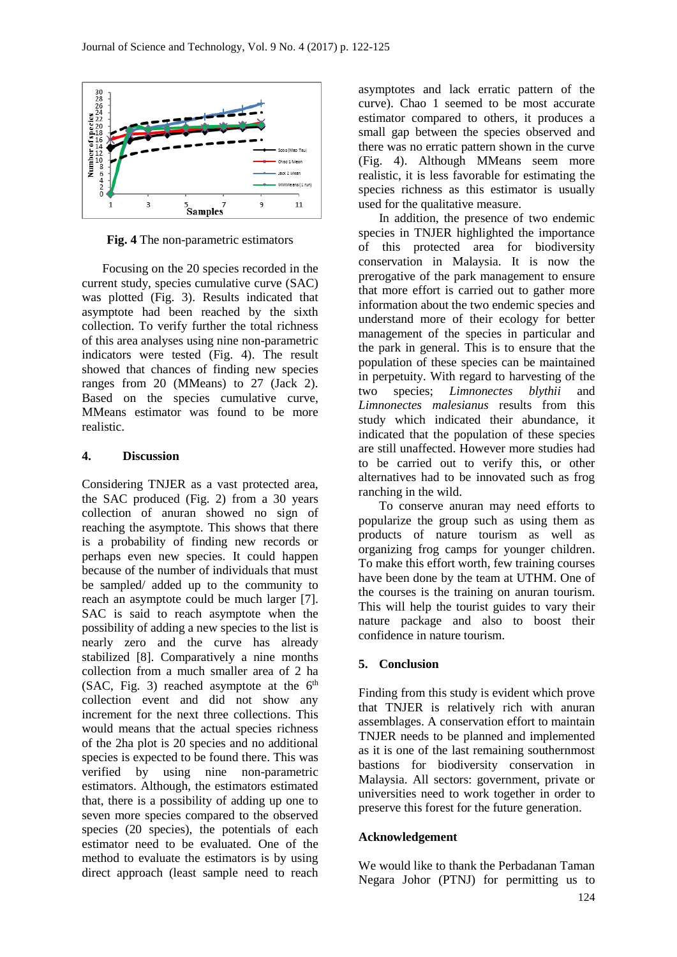

**Fig. 4** The non-parametric estimators

Focusing on the 20 species recorded in the current study, species cumulative curve (SAC) was plotted (Fig. 3). Results indicated that asymptote had been reached by the sixth collection. To verify further the total richness of this area analyses using nine non-parametric indicators were tested (Fig. 4). The result showed that chances of finding new species ranges from 20 (MMeans) to 27 (Jack 2). Based on the species cumulative curve, MMeans estimator was found to be more realistic.

## **4. Discussion**

Considering TNJER as a vast protected area, the SAC produced (Fig. 2) from a 30 years collection of anuran showed no sign of reaching the asymptote. This shows that there is a probability of finding new records or perhaps even new species. It could happen because of the number of individuals that must be sampled/ added up to the community to reach an asymptote could be much larger [7]. SAC is said to reach asymptote when the possibility of adding a new species to the list is nearly zero and the curve has already stabilized [8]. Comparatively a nine months collection from a much smaller area of 2 ha (SAC, Fig. 3) reached asymptote at the  $6<sup>th</sup>$ collection event and did not show any increment for the next three collections. This would means that the actual species richness of the 2ha plot is 20 species and no additional species is expected to be found there. This was verified by using nine non-parametric estimators. Although, the estimators estimated that, there is a possibility of adding up one to seven more species compared to the observed species (20 species), the potentials of each estimator need to be evaluated. One of the method to evaluate the estimators is by using direct approach (least sample need to reach asymptotes and lack erratic pattern of the curve). Chao 1 seemed to be most accurate estimator compared to others, it produces a small gap between the species observed and there was no erratic pattern shown in the curve (Fig. 4). Although MMeans seem more realistic, it is less favorable for estimating the species richness as this estimator is usually used for the qualitative measure.

In addition, the presence of two endemic species in TNJER highlighted the importance of this protected area for biodiversity conservation in Malaysia. It is now the prerogative of the park management to ensure that more effort is carried out to gather more information about the two endemic species and understand more of their ecology for better management of the species in particular and the park in general. This is to ensure that the population of these species can be maintained in perpetuity. With regard to harvesting of the two species; *Limnonectes blythii* and *Limnonectes malesianus* results from this study which indicated their abundance, it indicated that the population of these species are still unaffected. However more studies had to be carried out to verify this, or other alternatives had to be innovated such as frog ranching in the wild.

To conserve anuran may need efforts to popularize the group such as using them as products of nature tourism as well as organizing frog camps for younger children. To make this effort worth, few training courses have been done by the team at UTHM. One of the courses is the training on anuran tourism. This will help the tourist guides to vary their nature package and also to boost their confidence in nature tourism.

# **5. Conclusion**

Finding from this study is evident which prove that TNJER is relatively rich with anuran assemblages. A conservation effort to maintain TNJER needs to be planned and implemented as it is one of the last remaining southernmost bastions for biodiversity conservation in Malaysia. All sectors: government, private or universities need to work together in order to preserve this forest for the future generation.

# **Acknowledgement**

We would like to thank the Perbadanan Taman Negara Johor (PTNJ) for permitting us to